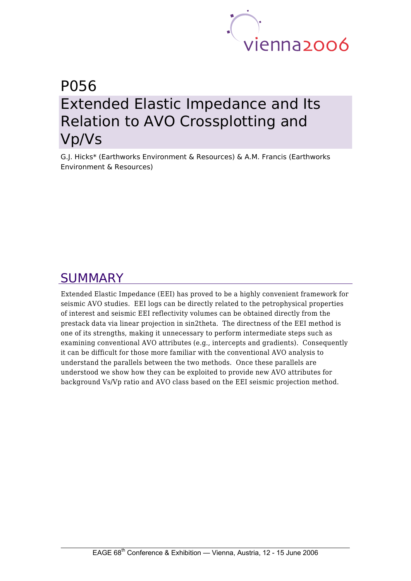

# P056 Extended Elastic Impedance and Its Relation to AVO Crossplotting and Vp/Vs

G.J. Hicks\* (Earthworks Environment & Resources) & A.M. Francis (Earthworks Environment & Resources)

# SUMMARY

Extended Elastic Impedance (EEI) has proved to be a highly convenient framework for seismic AVO studies. EEI logs can be directly related to the petrophysical properties of interest and seismic EEI reflectivity volumes can be obtained directly from the prestack data via linear projection in sin2theta. The directness of the EEI method is one of its strengths, making it unnecessary to perform intermediate steps such as examining conventional AVO attributes (e.g., intercepts and gradients). Consequently it can be difficult for those more familiar with the conventional AVO analysis to understand the parallels between the two methods. Once these parallels are understood we show how they can be exploited to provide new AVO attributes for background Vs/Vp ratio and AVO class based on the EEI seismic projection method.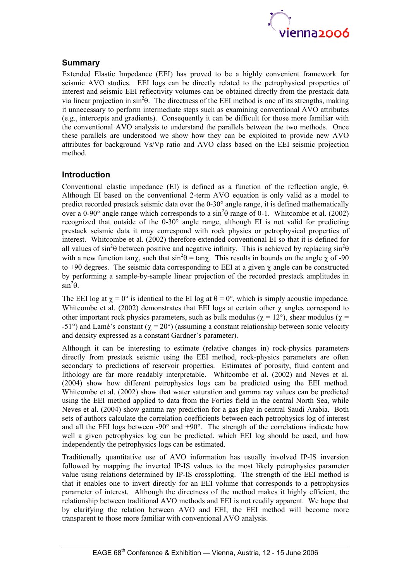

## **Summary**

Extended Elastic Impedance (EEI) has proved to be a highly convenient framework for seismic AVO studies. EEI logs can be directly related to the petrophysical properties of interest and seismic EEI reflectivity volumes can be obtained directly from the prestack data via linear projection in  $\sin^2\theta$ . The directness of the EEI method is one of its strengths, making it unnecessary to perform intermediate steps such as examining conventional AVO attributes (e.g., intercepts and gradients). Consequently it can be difficult for those more familiar with the conventional AVO analysis to understand the parallels between the two methods. Once these parallels are understood we show how they can be exploited to provide new AVO attributes for background Vs/Vp ratio and AVO class based on the EEI seismic projection method.

## **Introduction**

Conventional elastic impedance (EI) is defined as a function of the reflection angle, θ. Although EI based on the conventional 2-term AVO equation is only valid as a model to predict recorded prestack seismic data over the 0-30° angle range, it is defined mathematically over a 0-90° angle range which corresponds to a  $\sin^2\theta$  range of 0-1. Whitcombe et al. (2002) recognized that outside of the 0-30° angle range, although EI is not valid for predicting prestack seismic data it may correspond with rock physics or petrophysical properties of interest. Whitcombe et al. (2002) therefore extended conventional EI so that it is defined for all values of sin<sup>2</sup> $\theta$  between positive and negative infinity. This is achieved by replacing sin<sup>2</sup> $\theta$ with a new function tanx, such that  $\sin^2\theta = \tan\chi$ . This results in bounds on the angle  $\chi$  of -90 to  $+90$  degrees. The seismic data corresponding to EEI at a given  $\gamma$  angle can be constructed by performing a sample-by-sample linear projection of the recorded prestack amplitudes in  $\sin^2\theta$ .

The EEI log at  $\gamma = 0^{\circ}$  is identical to the EI log at  $\theta = 0^{\circ}$ , which is simply acoustic impedance. Whitcombe et al. (2002) demonstrates that EEI logs at certain other  $\gamma$  angles correspond to other important rock physics parameters, such as bulk modulus ( $\gamma = 12^{\circ}$ ), shear modulus ( $\gamma =$ -51°) and Lamé's constant ( $\gamma = 20$ °) (assuming a constant relationship between sonic velocity and density expressed as a constant Gardner's parameter).

Although it can be interesting to estimate (relative changes in) rock-physics parameters directly from prestack seismic using the EEI method, rock-physics parameters are often secondary to predictions of reservoir properties. Estimates of porosity, fluid content and lithology are far more readably interpretable. Whitcombe et al. (2002) and Neves et al. (2004) show how different petrophysics logs can be predicted using the EEI method. Whitcombe et al. (2002) show that water saturation and gamma ray values can be predicted using the EEI method applied to data from the Forties field in the central North Sea, while Neves et al. (2004) show gamma ray prediction for a gas play in central Saudi Arabia. Both sets of authors calculate the correlation coefficients between each petrophysics log of interest and all the EEI logs between -90° and +90°. The strength of the correlations indicate how well a given petrophysics log can be predicted, which EEI log should be used, and how independently the petrophysics logs can be estimated.

Traditionally quantitative use of AVO information has usually involved IP-IS inversion followed by mapping the inverted IP-IS values to the most likely petrophysics parameter value using relations determined by IP-IS crossplotting. The strength of the EEI method is that it enables one to invert directly for an EEI volume that corresponds to a petrophysics parameter of interest. Although the directness of the method makes it highly efficient, the relationship between traditional AVO methods and EEI is not readily apparent. We hope that by clarifying the relation between AVO and EEI, the EEI method will become more transparent to those more familiar with conventional AVO analysis.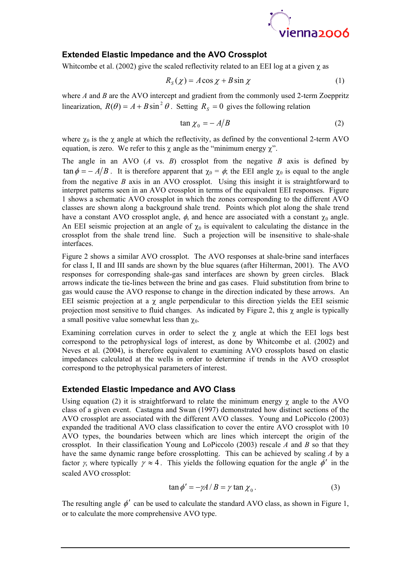

# **Extended Elastic Impedance and the AVO Crossplot**

Whitcombe et al. (2002) give the scaled reflectivity related to an EEI log at a given  $\gamma$  as

$$
R_S(\chi) = A\cos\chi + B\sin\chi\tag{1}
$$

where *A* and *B* are the AVO intercept and gradient from the commonly used 2-term Zoeppritz linearization,  $R(\theta) = A + B \sin^2 \theta$ . Setting  $R_s = 0$  gives the following relation

$$
\tan \chi_0 = -A/B \tag{2}
$$

where  $\chi_0$  is the  $\chi$  angle at which the reflectivity, as defined by the conventional 2-term AVO equation, is zero. We refer to this  $\gamma$  angle as the "minimum energy  $\gamma$ ".

The angle in an AVO (*A* vs. *B*) crossplot from the negative *B* axis is defined by  $\tan \phi = -A/B$ . It is therefore apparent that  $\chi_0 = \phi$ ; the EEI angle  $\chi_0$  is equal to the angle from the negative *B* axis in an AVO crossplot. Using this insight it is straightforward to interpret patterns seen in an AVO crossplot in terms of the equivalent EEI responses. Figure 1 shows a schematic AVO crossplot in which the zones corresponding to the different AVO classes are shown along a background shale trend. Points which plot along the shale trend have a constant AVO crossplot angle,  $\phi$ , and hence are associated with a constant  $\chi_0$  angle. An EEI seismic projection at an angle of  $\gamma_0$  is equivalent to calculating the distance in the crossplot from the shale trend line. Such a projection will be insensitive to shale-shale interfaces.

Figure 2 shows a similar AVO crossplot. The AVO responses at shale-brine sand interfaces for class I, II and III sands are shown by the blue squares (after Hilterman, 2001). The AVO responses for corresponding shale-gas sand interfaces are shown by green circles. Black arrows indicate the tie-lines between the brine and gas cases. Fluid substitution from brine to gas would cause the AVO response to change in the direction indicated by these arrows. An EEI seismic projection at a  $\gamma$  angle perpendicular to this direction yields the EEI seismic projection most sensitive to fluid changes. As indicated by Figure 2, this  $\gamma$  angle is typically a small positive value somewhat less than  $\gamma_0$ .

Examining correlation curves in order to select the  $\chi$  angle at which the EEI logs best correspond to the petrophysical logs of interest, as done by Whitcombe et al. (2002) and Neves et al. (2004), is therefore equivalent to examining AVO crossplots based on elastic impedances calculated at the wells in order to determine if trends in the AVO crossplot correspond to the petrophysical parameters of interest.

#### **Extended Elastic Impedance and AVO Class**

Using equation (2) it is straightforward to relate the minimum energy  $\chi$  angle to the AVO class of a given event. Castagna and Swan (1997) demonstrated how distinct sections of the AVO crossplot are associated with the different AVO classes. Young and LoPiccolo (2003) expanded the traditional AVO class classification to cover the entire AVO crossplot with 10 AVO types, the boundaries between which are lines which intercept the origin of the crossplot. In their classification Young and LoPiccolo (2003) rescale *A* and *B* so that they have the same dynamic range before crossplotting. This can be achieved by scaling *A* by a factor *γ*, where typically  $\gamma \approx 4$ . This yields the following equation for the angle  $\phi'$  in the scaled AVO crossplot:

$$
\tan \phi' = -\gamma A / B = \gamma \tan \chi_0. \tag{3}
$$

The resulting angle  $\phi'$  can be used to calculate the standard AVO class, as shown in Figure 1, or to calculate the more comprehensive AVO type.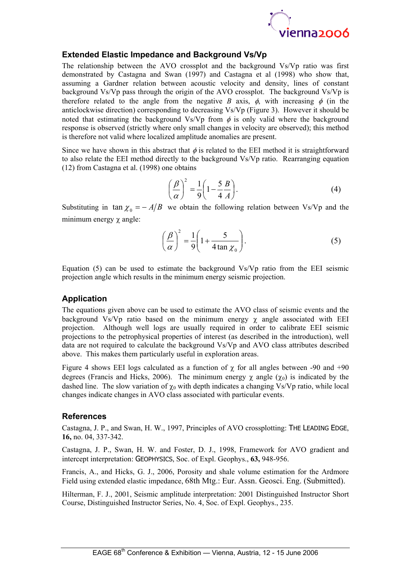

### **Extended Elastic Impedance and Background Vs/Vp**

The relationship between the AVO crossplot and the background Vs/Vp ratio was first demonstrated by Castagna and Swan (1997) and Castagna et al (1998) who show that, assuming a Gardner relation between acoustic velocity and density, lines of constant background Vs/Vp pass through the origin of the AVO crossplot. The background Vs/Vp is therefore related to the angle from the negative *B* axis,  $\phi$ , with increasing  $\phi$  (in the anticlockwise direction) corresponding to decreasing Vs/Vp (Figure 3). However it should be noted that estimating the background Vs/Vp from  $\phi$  is only valid where the background response is observed (strictly where only small changes in velocity are observed); this method is therefore not valid where localized amplitude anomalies are present.

Since we have shown in this abstract that  $\phi$  is related to the EEI method it is straightforward to also relate the EEI method directly to the background Vs/Vp ratio. Rearranging equation (12) from Castagna et al. (1998) one obtains

$$
\left(\frac{\beta}{\alpha}\right)^2 = \frac{1}{9} \left(1 - \frac{5}{4} \frac{B}{A}\right).
$$
\n(4)

Substituting in  $\tan \chi_0 = -A/B$  we obtain the following relation between Vs/Vp and the minimum energy χ angle:

$$
\left(\frac{\beta}{\alpha}\right)^2 = \frac{1}{9} \left(1 + \frac{5}{4 \tan \chi_0}\right).
$$
 (5)

Equation (5) can be used to estimate the background Vs/Vp ratio from the EEI seismic projection angle which results in the minimum energy seismic projection.

#### **Application**

The equations given above can be used to estimate the AVO class of seismic events and the background Vs/Vp ratio based on the minimum energy  $\chi$  angle associated with EEI projection. Although well logs are usually required in order to calibrate EEI seismic projections to the petrophysical properties of interest (as described in the introduction), well data are not required to calculate the background Vs/Vp and AVO class attributes described above. This makes them particularly useful in exploration areas.

Figure 4 shows EEI logs calculated as a function of  $\gamma$  for all angles between -90 and +90 degrees (Francis and Hicks, 2006). The minimum energy  $\chi$  angle  $(\chi_0)$  is indicated by the dashed line. The slow variation of  $\chi_0$  with depth indicates a changing Vs/Vp ratio, while local changes indicate changes in AVO class associated with particular events.

#### **References**

Castagna, J. P., and Swan, H. W., 1997, Principles of AVO crossplotting: THE LEADING EDGE, **16,** no. 04, 337-342.

Castagna, J. P., Swan, H. W. and Foster, D. J., 1998, Framework for AVO gradient and intercept interpretation: GEOPHYSICS, Soc. of Expl. Geophys., **63,** 948-956.

Francis, A., and Hicks, G. J., 2006, Porosity and shale volume estimation for the Ardmore Field using extended elastic impedance, 68th Mtg.: Eur. Assn. Geosci. Eng. (Submitted).

Hilterman, F. J., 2001, Seismic amplitude interpretation: 2001 Distinguished Instructor Short Course, Distinguished Instructor Series, No. 4, Soc. of Expl. Geophys., 235.